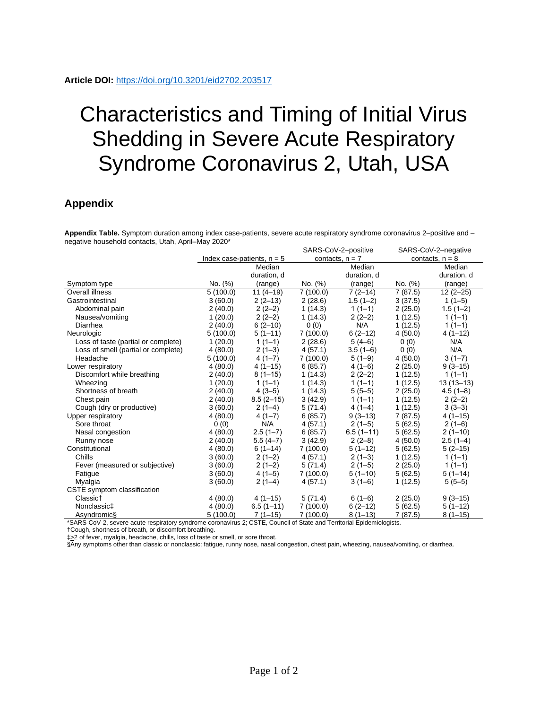## Characteristics and Timing of Initial Virus Shedding in Severe Acute Respiratory Syndrome Coronavirus 2, Utah, USA

## **Appendix**

**Appendix Table.** Symptom duration among index case-patients, severe acute respiratory syndrome coronavirus 2–positive and – negative household contacts, Utah, April–May 2020\*

|                                     |                              |                     | SARS-CoV-2-positive                             |               | SARS-CoV-2-negative |              |
|-------------------------------------|------------------------------|---------------------|-------------------------------------------------|---------------|---------------------|--------------|
|                                     | Index case-patients, $n = 5$ |                     | contacts, $n = 7$                               |               | contacts, $n = 8$   |              |
|                                     |                              | Median              |                                                 | Median        |                     | Median       |
|                                     |                              | duration, d         |                                                 | duration, d   |                     | duration, d  |
| Symptom type                        | No. (%)                      | (range)             | No. (%)                                         | (range)       | No. (%)             | (range)      |
| Overall illness                     | 5(100.0)                     | $11(4-19)$          | 7(100.0)                                        | $7(2-14)$     | 7(87.5)             | $12(2 - 25)$ |
| Gastrointestinal                    | 3(60.0)                      | $2(2-13)$           | 2(28.6)                                         | $1.5(1-2)$    | 3(37.5)             | $1(1-5)$     |
| Abdominal pain                      | 2(40.0)                      | $2(2-2)$            | 1(14.3)                                         | $1(1-1)$      | 2(25.0)             | $1.5(1-2)$   |
| Nausea/vomiting                     | 1(20.0)                      | $2(2-2)$            | 1(14.3)                                         | $2(2-2)$      | 1(12.5)             | $1(1-1)$     |
| Diarrhea                            | 2(40.0)                      | $6(2-10)$           | 0(0)                                            | N/A           | 1(12.5)             | $1(1-1)$     |
| Neurologic                          | 5(100.0)                     | $5(1-11)$           | 7(100.0)                                        | $6(2-12)$     | 4(50.0)             | $4(1-12)$    |
| Loss of taste (partial or complete) | 1(20.0)                      | $1(1-1)$            | 2(28.6)                                         | $5(4-6)$      | 0(0)                | N/A          |
| Loss of smell (partial or complete) | 4(80.0)                      | $2(1-3)$            | 4(57.1)                                         | $3.5(1-6)$    | 0(0)                | N/A          |
| Headache                            | 5(100.0)                     | $4(1-7)$            | 7(100.0)                                        | $5(1-9)$      | 4(50.0)             | $3(1-7)$     |
| Lower respiratory                   | 4(80.0)                      | $4(1-15)$           | 6(85.7)                                         | $4(1-6)$      | 2(25.0)             | $9(3-15)$    |
| Discomfort while breathing          | 2(40.0)                      | $8(1-15)$           | 1(14.3)                                         | $2(2-2)$      | 1(12.5)             | $1(1-1)$     |
| Wheezing                            | 1(20.0)                      | $1(1-1)$            | 1(14.3)                                         | $1(1-1)$      | 1(12.5)             | $13(13-13)$  |
| Shortness of breath                 | 2(40.0)                      | $4(3-5)$            | 1(14.3)                                         | $5(5-5)$      | 2(25.0)             | $4.5(1-8)$   |
| Chest pain                          | 2(40.0)                      | $8.5(2-15)$         | 3(42.9)                                         | $1(1-1)$      | 1(12.5)             | $2(2-2)$     |
| Cough (dry or productive)           | 3(60.0)                      | $2(1-4)$            | 5(71.4)                                         | $4(1-4)$      | 1(12.5)             | $3(3-3)$     |
| Upper respiratory                   | 4(80.0)                      | $4(1-7)$            | 6(85.7)                                         | $9(3-13)$     | 7(87.5)             | $4(1-15)$    |
| Sore throat                         | 0(0)                         | N/A                 | 4(57.1)                                         | $2(1-5)$      | 5(62.5)             | $2(1-6)$     |
| Nasal congestion                    | 4(80.0)                      | $2.5(1 - 7)$        | 6(85.7)                                         | $6.5(1 - 11)$ | 5(62.5)             | $2(1-10)$    |
| Runny nose                          | 2(40.0)                      | $5.5(4-7)$          | 3(42.9)                                         | $2(2-8)$      | 4(50.0)             | $2.5(1-4)$   |
| Constitutional                      | 4(80.0)                      | $6(1-14)$           | 7(100.0)                                        | $5(1-12)$     | 5(62.5)             | $5(2-15)$    |
| Chills                              | 3(60.0)                      | $2(1-2)$            | 4(57.1)                                         | $2(1-3)$      | 1(12.5)             | $1(1-1)$     |
| Fever (measured or subjective)      | 3(60.0)                      | $2(1-2)$            | 5(71.4)                                         | $2(1-5)$      | 2(25.0)             | $1(1-1)$     |
| Fatigue                             | 3(60.0)                      | $4(1-5)$            | 7(100.0)                                        | $5(1-10)$     | 5(62.5)             | $5(1-14)$    |
| Myalgia                             | 3(60.0)                      | $2(1-4)$            | 4(57.1)                                         | $3(1-6)$      | 1(12.5)             | $5(5-5)$     |
| CSTE symptom classification         |                              |                     |                                                 |               |                     |              |
| Classict                            | 4(80.0)                      | $4(1-15)$           | 5(71.4)                                         | $6(1-6)$      | 2(25.0)             | $9(3-15)$    |
| Nonclassic‡                         | 4(80.0)                      | $6.5(1-11)$         | 7(100.0)                                        | $6(2-12)$     | 5(62.5)             | $5(1-12)$    |
| Asyndromic§<br>$*$                  | 5(100.0)                     | $7(1-15)$<br>0.0277 | 7(100.0)<br>$\mathbf{u}$ $\mathbf{v}$<br>$\sim$ | $8(1-13)$     | 7(87.5)             | $8(1-15)$    |

\*SARS-CoV-2, severe acute respiratory syndrome coronavirus 2; CSTE, Council of State and Territorial Epidemiologists.

†Cough, shortness of breath, or discomfort breathing.

‡>2 of fever, myalgia, headache, chills, loss of taste or smell, or sore throat.

§Any symptoms other than classic or nonclassic: fatigue, runny nose, nasal congestion, chest pain, wheezing, nausea/vomiting, or diarrhea.